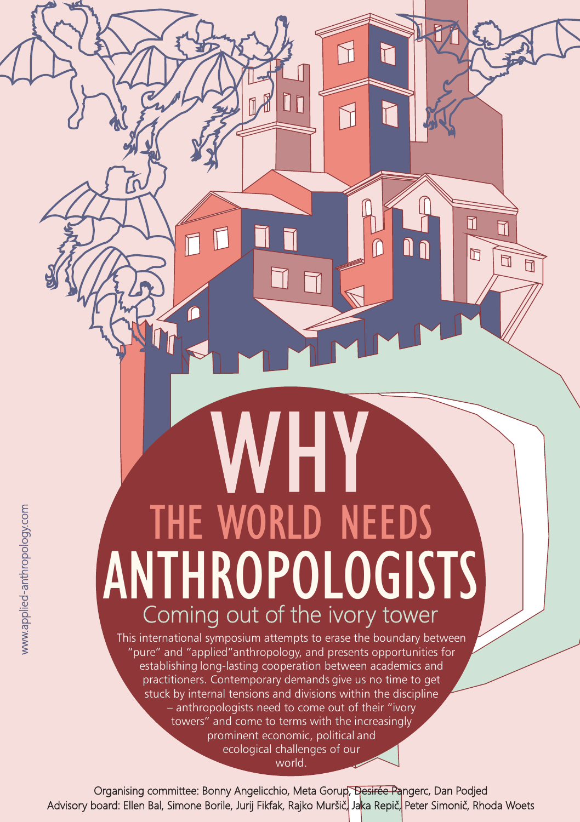## THE WORLD NEEDS ANTHROPOLOGISTS Coming out of the ivory tower

N

 $\Box$ 

 $\sqrt{2}$ 

┢

N

ſſ

Π

 $\overline{\mathbb{M}}$ 

 $\overline{\Pi}$ 

 $\overline{\mathbb{m}}$  $\overline{\Pi}$ 

This international symposium attempts to erase the boundary between "pure" and "applied"anthropology, and presents opportunities for establishing long-lasting cooperation between academics and practitioners. Contemporary demands give us no time to get stuck by internal tensions and divisions within the discipline – anthropologists need to come out of their "ivory towers" and come to terms with the increasingly prominent economic, political and ecological challenges of our world.

Organising committee: Bonny Angelicchio, Meta Gorup, Desirée Pangerc, Dan Podjed Advisory board: Ellen Bal, Simone Borile, Jurij Fikfak, Rajko Muršič, Jaka Repič, Peter Simonič, Rhoda Woets

www.applied-anthropology.com www.applied-anthropology.com